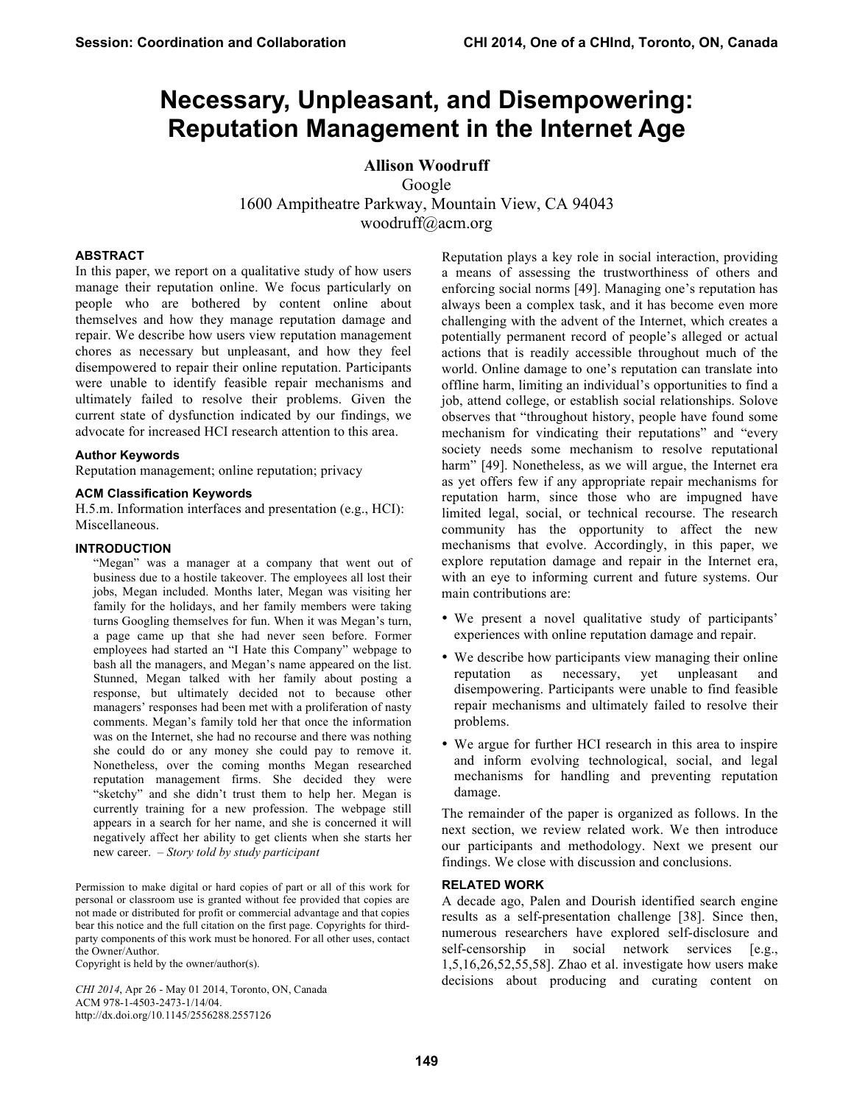# **Necessary, Unpleasant, and Disempowering: Reputation Management in the Internet Age**

# **Allison Woodruff**

Google 1600 Ampitheatre Parkway, Mountain View, CA 94043 woodruff@acm.org

### **ABSTRACT**

In this paper, we report on a qualitative study of how users manage their reputation online. We focus particularly on people who are bothered by content online about themselves and how they manage reputation damage and repair. We describe how users view reputation management chores as necessary but unpleasant, and how they feel disempowered to repair their online reputation. Participants were unable to identify feasible repair mechanisms and ultimately failed to resolve their problems. Given the current state of dysfunction indicated by our findings, we advocate for increased HCI research attention to this area.

#### **Author Keywords**

Reputation management; online reputation; privacy

#### **ACM Classification Keywords**

H.5.m. Information interfaces and presentation (e.g., HCI): Miscellaneous.

#### **INTRODUCTION**

"Megan" was a manager at a company that went out of business due to a hostile takeover. The employees all lost their jobs, Megan included. Months later, Megan was visiting her family for the holidays, and her family members were taking turns Googling themselves for fun. When it was Megan's turn, a page came up that she had never seen before. Former employees had started an "I Hate this Company" webpage to bash all the managers, and Megan's name appeared on the list. Stunned, Megan talked with her family about posting a response, but ultimately decided not to because other managers' responses had been met with a proliferation of nasty comments. Megan's family told her that once the information was on the Internet, she had no recourse and there was nothing she could do or any money she could pay to remove it. Nonetheless, over the coming months Megan researched reputation management firms. She decided they were "sketchy" and she didn't trust them to help her. Megan is currently training for a new profession. The webpage still appears in a search for her name, and she is concerned it will negatively affect her ability to get clients when she starts her new career. – *Story told by study participant*

Permission to make digital or hard copies of part or all of this work for personal or classroom use is granted without fee provided that copies are not made or distributed for profit or commercial advantage and that copies bear this notice and the full citation on the first page. Copyrights for thirdparty components of this work must be honored. For all other uses, contact the Owner/Author.

Copyright is held by the owner/author(s).

*CHI 2014*, Apr 26 - May 01 2014, Toronto, ON, Canada ACM 978-1-4503-2473-1/14/04. http://dx.doi.org/10.1145/2556288.2557126

Reputation plays a key role in social interaction, providing a means of assessing the trustworthiness of others and enforcing social norms [49]. Managing one's reputation has always been a complex task, and it has become even more challenging with the advent of the Internet, which creates a potentially permanent record of people's alleged or actual actions that is readily accessible throughout much of the world. Online damage to one's reputation can translate into offline harm, limiting an individual's opportunities to find a job, attend college, or establish social relationships. Solove observes that "throughout history, people have found some mechanism for vindicating their reputations" and "every society needs some mechanism to resolve reputational harm" [49]. Nonetheless, as we will argue, the Internet era as yet offers few if any appropriate repair mechanisms for reputation harm, since those who are impugned have limited legal, social, or technical recourse. The research community has the opportunity to affect the new mechanisms that evolve. Accordingly, in this paper, we explore reputation damage and repair in the Internet era, with an eye to informing current and future systems. Our main contributions are:

- We present a novel qualitative study of participants' experiences with online reputation damage and repair.
- We describe how participants view managing their online reputation as necessary, yet unpleasant and disempowering. Participants were unable to find feasible repair mechanisms and ultimately failed to resolve their problems.
- We argue for further HCI research in this area to inspire and inform evolving technological, social, and legal mechanisms for handling and preventing reputation damage.

The remainder of the paper is organized as follows. In the next section, we review related work. We then introduce our participants and methodology. Next we present our findings. We close with discussion and conclusions.

#### **RELATED WORK**

A decade ago, Palen and Dourish identified search engine results as a self-presentation challenge [38]. Since then, numerous researchers have explored self-disclosure and self-censorship in social network services [e.g., 1,5,16,26,52,55,58]. Zhao et al. investigate how users make decisions about producing and curating content on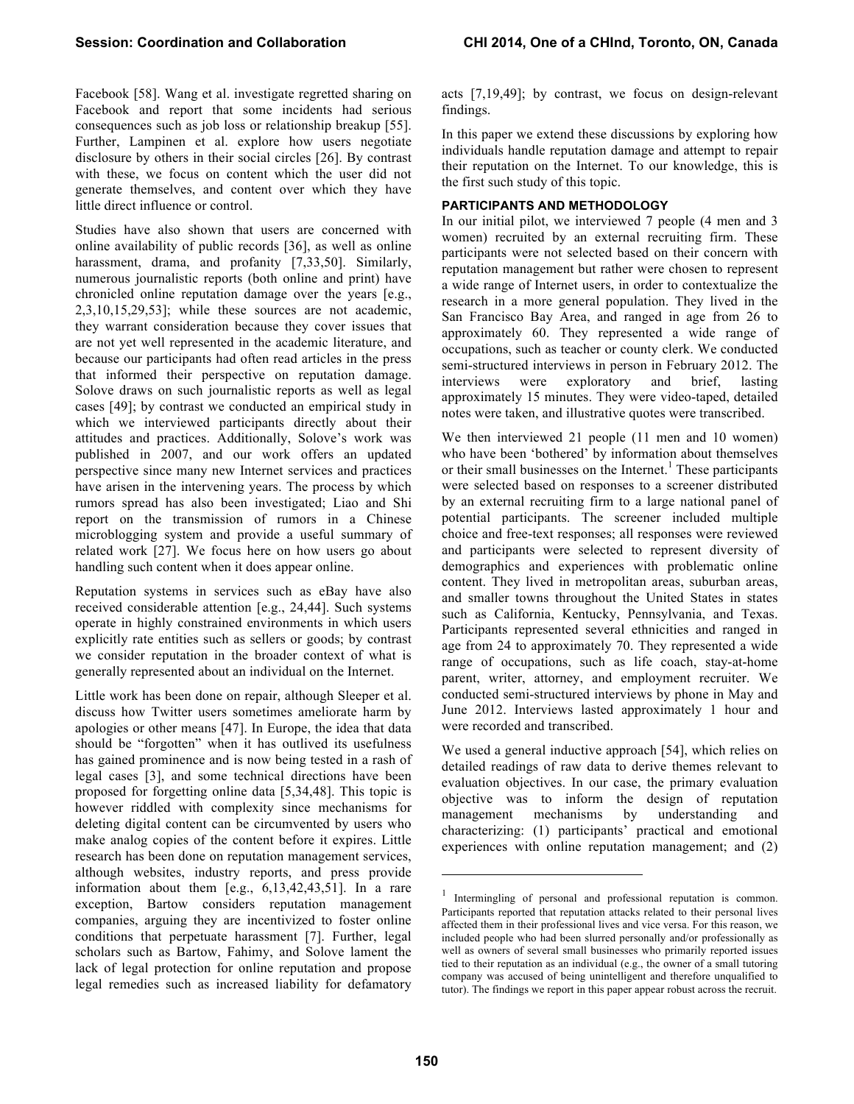Facebook [58]. Wang et al. investigate regretted sharing on Facebook and report that some incidents had serious consequences such as job loss or relationship breakup [55]. Further, Lampinen et al. explore how users negotiate disclosure by others in their social circles [26]. By contrast with these, we focus on content which the user did not generate themselves, and content over which they have little direct influence or control.

Studies have also shown that users are concerned with online availability of public records [36], as well as online harassment, drama, and profanity [7,33,50]. Similarly, numerous journalistic reports (both online and print) have chronicled online reputation damage over the years [e.g., 2,3,10,15,29,53]; while these sources are not academic, they warrant consideration because they cover issues that are not yet well represented in the academic literature, and because our participants had often read articles in the press that informed their perspective on reputation damage. Solove draws on such journalistic reports as well as legal cases [49]; by contrast we conducted an empirical study in which we interviewed participants directly about their attitudes and practices. Additionally, Solove's work was published in 2007, and our work offers an updated perspective since many new Internet services and practices have arisen in the intervening years. The process by which rumors spread has also been investigated; Liao and Shi report on the transmission of rumors in a Chinese microblogging system and provide a useful summary of related work [27]. We focus here on how users go about handling such content when it does appear online.

Reputation systems in services such as eBay have also received considerable attention [e.g., 24,44]. Such systems operate in highly constrained environments in which users explicitly rate entities such as sellers or goods; by contrast we consider reputation in the broader context of what is generally represented about an individual on the Internet.

Little work has been done on repair, although Sleeper et al. discuss how Twitter users sometimes ameliorate harm by apologies or other means [47]. In Europe, the idea that data should be "forgotten" when it has outlived its usefulness has gained prominence and is now being tested in a rash of legal cases [3], and some technical directions have been proposed for forgetting online data [5,34,48]. This topic is however riddled with complexity since mechanisms for deleting digital content can be circumvented by users who make analog copies of the content before it expires. Little research has been done on reputation management services, although websites, industry reports, and press provide information about them [e.g., 6,13,42,43,51]. In a rare exception, Bartow considers reputation management companies, arguing they are incentivized to foster online conditions that perpetuate harassment [7]. Further, legal scholars such as Bartow, Fahimy, and Solove lament the lack of legal protection for online reputation and propose legal remedies such as increased liability for defamatory

acts [7,19,49]; by contrast, we focus on design-relevant findings.

In this paper we extend these discussions by exploring how individuals handle reputation damage and attempt to repair their reputation on the Internet. To our knowledge, this is the first such study of this topic.

# **PARTICIPANTS AND METHODOLOGY**

In our initial pilot, we interviewed 7 people (4 men and 3 women) recruited by an external recruiting firm. These participants were not selected based on their concern with reputation management but rather were chosen to represent a wide range of Internet users, in order to contextualize the research in a more general population. They lived in the San Francisco Bay Area, and ranged in age from 26 to approximately 60. They represented a wide range of occupations, such as teacher or county clerk. We conducted semi-structured interviews in person in February 2012. The interviews were exploratory and brief, lasting approximately 15 minutes. They were video-taped, detailed notes were taken, and illustrative quotes were transcribed.

We then interviewed 21 people (11 men and 10 women) who have been 'bothered' by information about themselves or their small businesses on the Internet.<sup>1</sup> These participants were selected based on responses to a screener distributed by an external recruiting firm to a large national panel of potential participants. The screener included multiple choice and free-text responses; all responses were reviewed and participants were selected to represent diversity of demographics and experiences with problematic online content. They lived in metropolitan areas, suburban areas, and smaller towns throughout the United States in states such as California, Kentucky, Pennsylvania, and Texas. Participants represented several ethnicities and ranged in age from 24 to approximately 70. They represented a wide range of occupations, such as life coach, stay-at-home parent, writer, attorney, and employment recruiter. We conducted semi-structured interviews by phone in May and June 2012. Interviews lasted approximately 1 hour and were recorded and transcribed.

We used a general inductive approach [54], which relies on detailed readings of raw data to derive themes relevant to evaluation objectives. In our case, the primary evaluation objective was to inform the design of reputation management mechanisms by understanding and characterizing: (1) participants' practical and emotional experiences with online reputation management; and (2)

l

<sup>1</sup> Intermingling of personal and professional reputation is common. Participants reported that reputation attacks related to their personal lives affected them in their professional lives and vice versa. For this reason, we included people who had been slurred personally and/or professionally as well as owners of several small businesses who primarily reported issues tied to their reputation as an individual (e.g., the owner of a small tutoring company was accused of being unintelligent and therefore unqualified to tutor). The findings we report in this paper appear robust across the recruit.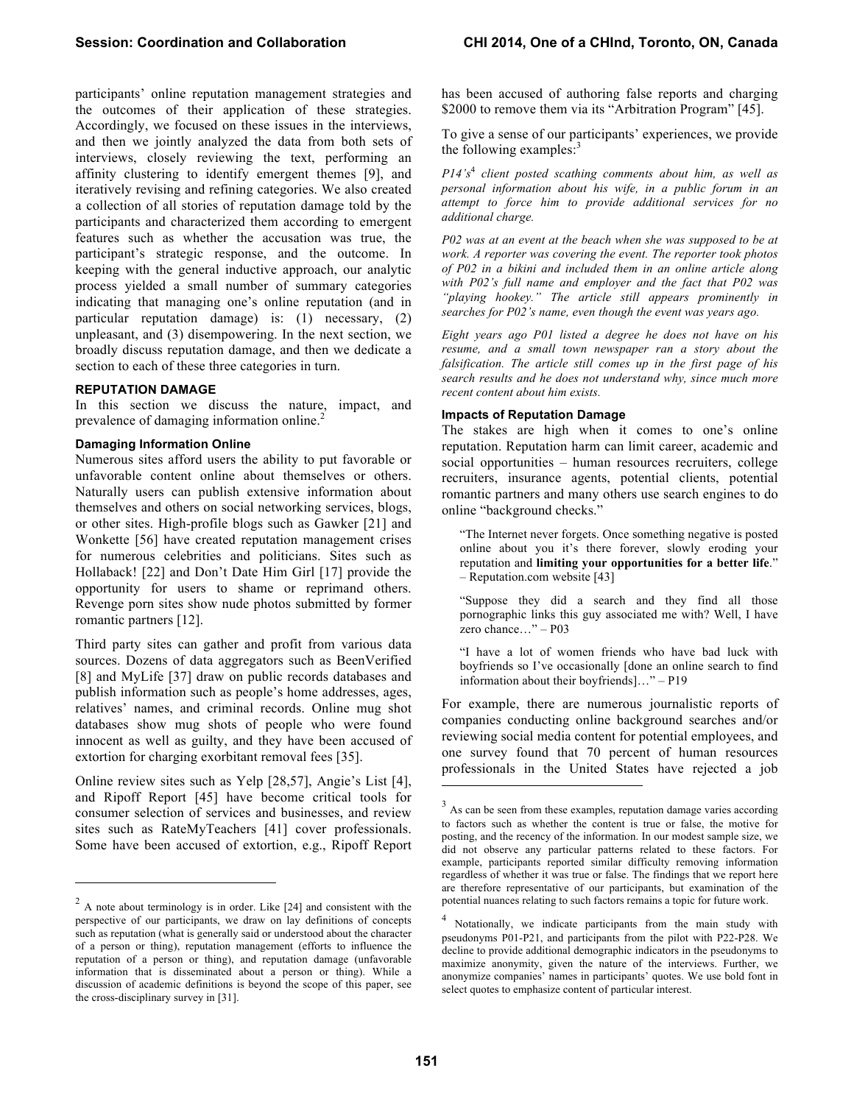participants' online reputation management strategies and the outcomes of their application of these strategies. Accordingly, we focused on these issues in the interviews, and then we jointly analyzed the data from both sets of interviews, closely reviewing the text, performing an affinity clustering to identify emergent themes [9], and iteratively revising and refining categories. We also created a collection of all stories of reputation damage told by the participants and characterized them according to emergent features such as whether the accusation was true, the participant's strategic response, and the outcome. In keeping with the general inductive approach, our analytic process yielded a small number of summary categories indicating that managing one's online reputation (and in particular reputation damage) is: (1) necessary, (2) unpleasant, and (3) disempowering. In the next section, we broadly discuss reputation damage, and then we dedicate a section to each of these three categories in turn.

### **REPUTATION DAMAGE**

1

In this section we discuss the nature, impact, and prevalence of damaging information online.<sup>2</sup>

#### **Damaging Information Online**

Numerous sites afford users the ability to put favorable or unfavorable content online about themselves or others. Naturally users can publish extensive information about themselves and others on social networking services, blogs, or other sites. High-profile blogs such as Gawker [21] and Wonkette [56] have created reputation management crises for numerous celebrities and politicians. Sites such as Hollaback! [22] and Don't Date Him Girl [17] provide the opportunity for users to shame or reprimand others. Revenge porn sites show nude photos submitted by former romantic partners [12].

Third party sites can gather and profit from various data sources. Dozens of data aggregators such as BeenVerified [8] and MyLife [37] draw on public records databases and publish information such as people's home addresses, ages, relatives' names, and criminal records. Online mug shot databases show mug shots of people who were found innocent as well as guilty, and they have been accused of extortion for charging exorbitant removal fees [35].

Online review sites such as Yelp [28,57], Angie's List [4], and Ripoff Report [45] have become critical tools for consumer selection of services and businesses, and review sites such as RateMyTeachers [41] cover professionals. Some have been accused of extortion, e.g., Ripoff Report has been accused of authoring false reports and charging \$2000 to remove them via its "Arbitration Program" [45].

To give a sense of our participants' experiences, we provide the following examples: $3$ 

*P14's*<sup>4</sup> *client posted scathing comments about him, as well as personal information about his wife, in a public forum in an attempt to force him to provide additional services for no additional charge.*

*P02 was at an event at the beach when she was supposed to be at work. A reporter was covering the event. The reporter took photos of P02 in a bikini and included them in an online article along with P02's full name and employer and the fact that P02 was "playing hookey." The article still appears prominently in searches for P02's name, even though the event was years ago.*

*Eight years ago P01 listed a degree he does not have on his resume, and a small town newspaper ran a story about the falsification. The article still comes up in the first page of his search results and he does not understand why, since much more recent content about him exists.*

#### **Impacts of Reputation Damage**

The stakes are high when it comes to one's online reputation. Reputation harm can limit career, academic and social opportunities – human resources recruiters, college recruiters, insurance agents, potential clients, potential romantic partners and many others use search engines to do online "background checks."

"The Internet never forgets. Once something negative is posted online about you it's there forever, slowly eroding your reputation and **limiting your opportunities for a better life**." – Reputation.com website [43]

"Suppose they did a search and they find all those pornographic links this guy associated me with? Well, I have zero chance…" – P03

"I have a lot of women friends who have bad luck with boyfriends so I've occasionally [done an online search to find information about their boyfriends]…" – P19

For example, there are numerous journalistic reports of companies conducting online background searches and/or reviewing social media content for potential employees, and one survey found that 70 percent of human resources professionals in the United States have rejected a job

l

 $2$  A note about terminology is in order. Like [24] and consistent with the perspective of our participants, we draw on lay definitions of concepts such as reputation (what is generally said or understood about the character of a person or thing), reputation management (efforts to influence the reputation of a person or thing), and reputation damage (unfavorable information that is disseminated about a person or thing). While a discussion of academic definitions is beyond the scope of this paper, see the cross-disciplinary survey in [31].

 $3$  As can be seen from these examples, reputation damage varies according to factors such as whether the content is true or false, the motive for posting, and the recency of the information. In our modest sample size, we did not observe any particular patterns related to these factors. For example, participants reported similar difficulty removing information regardless of whether it was true or false. The findings that we report here are therefore representative of our participants, but examination of the potential nuances relating to such factors remains a topic for future work.

<sup>4</sup> Notationally, we indicate participants from the main study with pseudonyms P01-P21, and participants from the pilot with P22-P28. We decline to provide additional demographic indicators in the pseudonyms to maximize anonymity, given the nature of the interviews. Further, we anonymize companies' names in participants' quotes. We use bold font in select quotes to emphasize content of particular interest.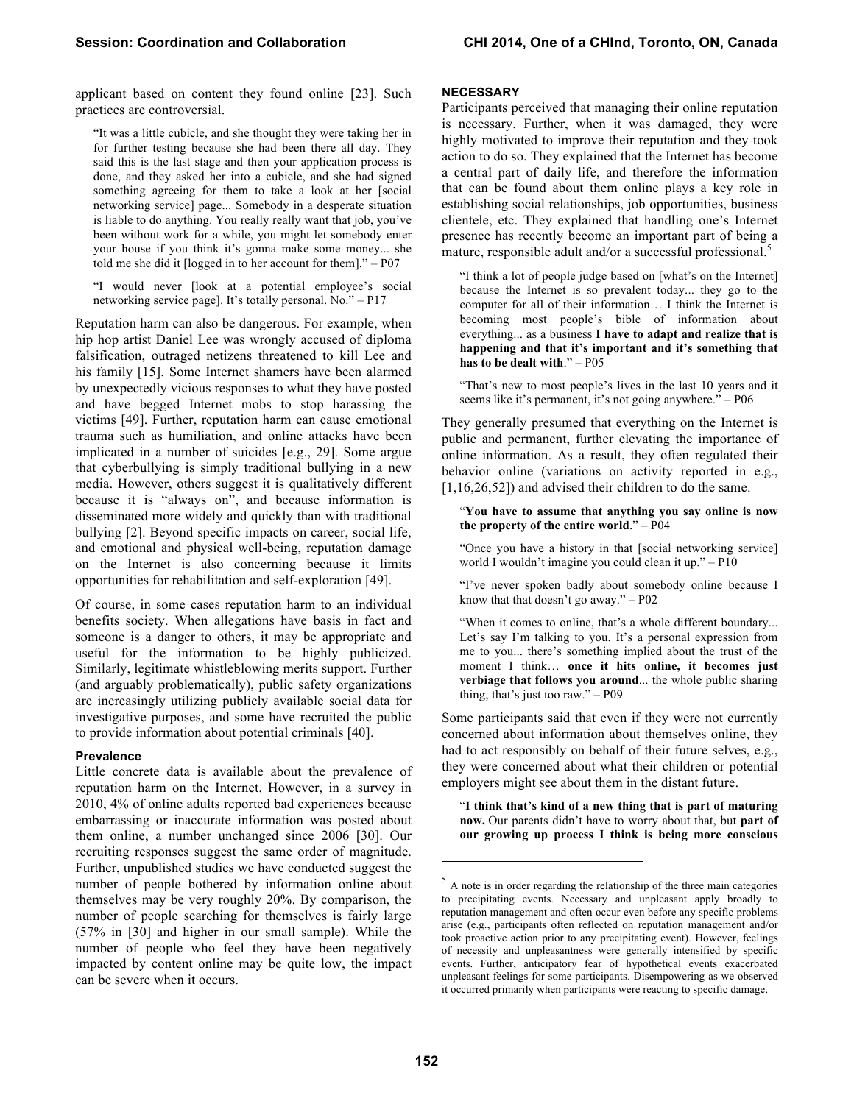applicant based on content they found online [23]. Such practices are controversial.

"It was a little cubicle, and she thought they were taking her in for further testing because she had been there all day. They said this is the last stage and then your application process is done, and they asked her into a cubicle, and she had signed something agreeing for them to take a look at her [social networking service] page... Somebody in a desperate situation is liable to do anything. You really really want that job, you've been without work for a while, you might let somebody enter your house if you think it's gonna make some money... she told me she did it [logged in to her account for them]." – P07

"I would never [look at a potential employee's social networking service page]. It's totally personal. No." – P17

Reputation harm can also be dangerous. For example, when hip hop artist Daniel Lee was wrongly accused of diploma falsification, outraged netizens threatened to kill Lee and his family [15]. Some Internet shamers have been alarmed by unexpectedly vicious responses to what they have posted and have begged Internet mobs to stop harassing the victims [49]. Further, reputation harm can cause emotional trauma such as humiliation, and online attacks have been implicated in a number of suicides [e.g., 29]. Some argue that cyberbullying is simply traditional bullying in a new media. However, others suggest it is qualitatively different because it is "always on", and because information is disseminated more widely and quickly than with traditional bullying [2]. Beyond specific impacts on career, social life, and emotional and physical well-being, reputation damage on the Internet is also concerning because it limits opportunities for rehabilitation and self-exploration [49].

Of course, in some cases reputation harm to an individual benefits society. When allegations have basis in fact and someone is a danger to others, it may be appropriate and useful for the information to be highly publicized. Similarly, legitimate whistleblowing merits support. Further (and arguably problematically), public safety organizations are increasingly utilizing publicly available social data for investigative purposes, and some have recruited the public to provide information about potential criminals [40].

# **Prevalence**

Little concrete data is available about the prevalence of reputation harm on the Internet. However, in a survey in 2010, 4% of online adults reported bad experiences because embarrassing or inaccurate information was posted about them online, a number unchanged since 2006 [30]. Our recruiting responses suggest the same order of magnitude. Further, unpublished studies we have conducted suggest the number of people bothered by information online about themselves may be very roughly 20%. By comparison, the number of people searching for themselves is fairly large (57% in [30] and higher in our small sample). While the number of people who feel they have been negatively impacted by content online may be quite low, the impact can be severe when it occurs.

### **NECESSARY**

Participants perceived that managing their online reputation is necessary. Further, when it was damaged, they were highly motivated to improve their reputation and they took action to do so. They explained that the Internet has become a central part of daily life, and therefore the information that can be found about them online plays a key role in establishing social relationships, job opportunities, business clientele, etc. They explained that handling one's Internet presence has recently become an important part of being a mature, responsible adult and/or a successful professional.<sup>5</sup>

"I think a lot of people judge based on [what's on the Internet] because the Internet is so prevalent today... they go to the computer for all of their information… I think the Internet is becoming most people's bible of information about everything... as a business **I have to adapt and realize that is happening and that it's important and it's something that has to be dealt with**." – P05

"That's new to most people's lives in the last 10 years and it seems like it's permanent, it's not going anywhere." – P06

They generally presumed that everything on the Internet is public and permanent, further elevating the importance of online information. As a result, they often regulated their behavior online (variations on activity reported in e.g., [1,16,26,52]) and advised their children to do the same.

"**You have to assume that anything you say online is now the property of the entire world**." – P04

"Once you have a history in that [social networking service] world I wouldn't imagine you could clean it up." – P10

"I've never spoken badly about somebody online because I know that that doesn't go away." – P02

"When it comes to online, that's a whole different boundary... Let's say I'm talking to you. It's a personal expression from me to you... there's something implied about the trust of the moment I think… **once it hits online, it becomes just verbiage that follows you around**... the whole public sharing thing, that's just too raw." – P09

Some participants said that even if they were not currently concerned about information about themselves online, they had to act responsibly on behalf of their future selves, e.g., they were concerned about what their children or potential employers might see about them in the distant future.

"**I think that's kind of a new thing that is part of maturing now.** Our parents didn't have to worry about that, but **part of our growing up process I think is being more conscious** 

l

 $5$  A note is in order regarding the relationship of the three main categories to precipitating events. Necessary and unpleasant apply broadly to reputation management and often occur even before any specific problems arise (e.g., participants often reflected on reputation management and/or took proactive action prior to any precipitating event). However, feelings of necessity and unpleasantness were generally intensified by specific events. Further, anticipatory fear of hypothetical events exacerbated unpleasant feelings for some participants. Disempowering as we observed it occurred primarily when participants were reacting to specific damage.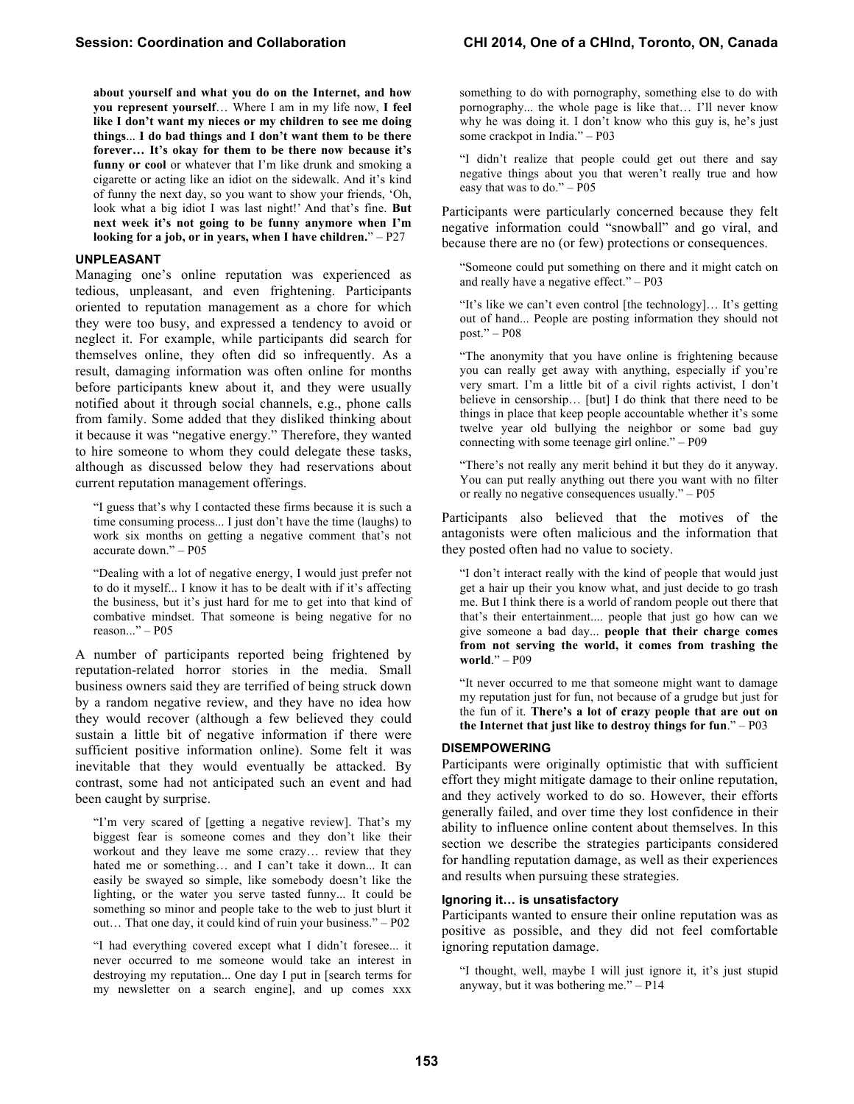**about yourself and what you do on the Internet, and how you represent yourself**… Where I am in my life now, **I feel like I don't want my nieces or my children to see me doing things**... **I do bad things and I don't want them to be there forever… It's okay for them to be there now because it's**  funny or cool or whatever that I'm like drunk and smoking a cigarette or acting like an idiot on the sidewalk. And it's kind of funny the next day, so you want to show your friends, 'Oh, look what a big idiot I was last night!' And that's fine. **But next week it's not going to be funny anymore when I'm looking for a job, or in years, when I have children.**" – P27

### **UNPLEASANT**

Managing one's online reputation was experienced as tedious, unpleasant, and even frightening. Participants oriented to reputation management as a chore for which they were too busy, and expressed a tendency to avoid or neglect it. For example, while participants did search for themselves online, they often did so infrequently. As a result, damaging information was often online for months before participants knew about it, and they were usually notified about it through social channels, e.g., phone calls from family. Some added that they disliked thinking about it because it was "negative energy." Therefore, they wanted to hire someone to whom they could delegate these tasks, although as discussed below they had reservations about current reputation management offerings.

"I guess that's why I contacted these firms because it is such a time consuming process... I just don't have the time (laughs) to work six months on getting a negative comment that's not accurate down." – P05

"Dealing with a lot of negative energy, I would just prefer not to do it myself... I know it has to be dealt with if it's affecting the business, but it's just hard for me to get into that kind of combative mindset. That someone is being negative for no reason..." – P05

A number of participants reported being frightened by reputation-related horror stories in the media. Small business owners said they are terrified of being struck down by a random negative review, and they have no idea how they would recover (although a few believed they could sustain a little bit of negative information if there were sufficient positive information online). Some felt it was inevitable that they would eventually be attacked. By contrast, some had not anticipated such an event and had been caught by surprise.

"I'm very scared of [getting a negative review]. That's my biggest fear is someone comes and they don't like their workout and they leave me some crazy… review that they hated me or something… and I can't take it down... It can easily be swayed so simple, like somebody doesn't like the lighting, or the water you serve tasted funny... It could be something so minor and people take to the web to just blurt it out… That one day, it could kind of ruin your business." – P02

"I had everything covered except what I didn't foresee... it never occurred to me someone would take an interest in destroying my reputation... One day I put in [search terms for my newsletter on a search engine], and up comes xxx something to do with pornography, something else to do with pornography... the whole page is like that… I'll never know why he was doing it. I don't know who this guy is, he's just some crackpot in India." – P03

"I didn't realize that people could get out there and say negative things about you that weren't really true and how easy that was to do." – P05

Participants were particularly concerned because they felt negative information could "snowball" and go viral, and because there are no (or few) protections or consequences.

"Someone could put something on there and it might catch on and really have a negative effect." – P03

"It's like we can't even control [the technology]… It's getting out of hand... People are posting information they should not post." – P08

"The anonymity that you have online is frightening because you can really get away with anything, especially if you're very smart. I'm a little bit of a civil rights activist, I don't believe in censorship… [but] I do think that there need to be things in place that keep people accountable whether it's some twelve year old bullying the neighbor or some bad guy connecting with some teenage girl online." – P09

"There's not really any merit behind it but they do it anyway. You can put really anything out there you want with no filter or really no negative consequences usually." – P05

Participants also believed that the motives of the antagonists were often malicious and the information that they posted often had no value to society.

"I don't interact really with the kind of people that would just get a hair up their you know what, and just decide to go trash me. But I think there is a world of random people out there that that's their entertainment.... people that just go how can we give someone a bad day... **people that their charge comes from not serving the world, it comes from trashing the world**." – P09

"It never occurred to me that someone might want to damage my reputation just for fun, not because of a grudge but just for the fun of it. **There's a lot of crazy people that are out on the Internet that just like to destroy things for fun**." – P03

#### **DISEMPOWERING**

Participants were originally optimistic that with sufficient effort they might mitigate damage to their online reputation, and they actively worked to do so. However, their efforts generally failed, and over time they lost confidence in their ability to influence online content about themselves. In this section we describe the strategies participants considered for handling reputation damage, as well as their experiences and results when pursuing these strategies.

#### **Ignoring it… is unsatisfactory**

Participants wanted to ensure their online reputation was as positive as possible, and they did not feel comfortable ignoring reputation damage.

"I thought, well, maybe I will just ignore it, it's just stupid anyway, but it was bothering me." – P14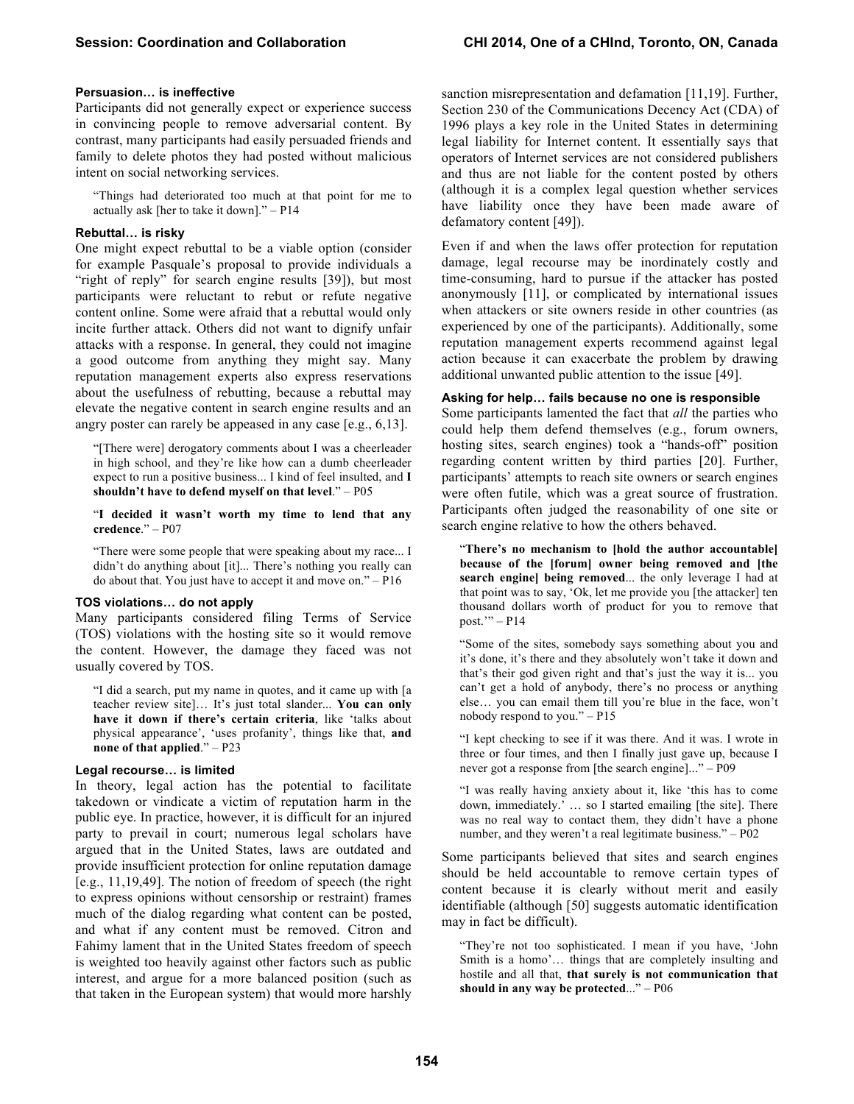### **Persuasion… is ineffective**

Participants did not generally expect or experience success in convincing people to remove adversarial content. By contrast, many participants had easily persuaded friends and family to delete photos they had posted without malicious intent on social networking services.

"Things had deteriorated too much at that point for me to actually ask [her to take it down]."  $- P14$ 

#### **Rebuttal… is risky**

One might expect rebuttal to be a viable option (consider for example Pasquale's proposal to provide individuals a "right of reply" for search engine results [39]), but most participants were reluctant to rebut or refute negative content online. Some were afraid that a rebuttal would only incite further attack. Others did not want to dignify unfair attacks with a response. In general, they could not imagine a good outcome from anything they might say. Many reputation management experts also express reservations about the usefulness of rebutting, because a rebuttal may elevate the negative content in search engine results and an angry poster can rarely be appeased in any case [e.g., 6,13].

"[There were] derogatory comments about I was a cheerleader in high school, and they're like how can a dumb cheerleader expect to run a positive business... I kind of feel insulted, and **I shouldn't have to defend myself on that level**." – P05

#### "**I decided it wasn't worth my time to lend that any credence**." – P07

"There were some people that were speaking about my race... I didn't do anything about [it]... There's nothing you really can do about that. You just have to accept it and move on." – P16

#### **TOS violations… do not apply**

Many participants considered filing Terms of Service (TOS) violations with the hosting site so it would remove the content. However, the damage they faced was not usually covered by TOS.

"I did a search, put my name in quotes, and it came up with [a teacher review site]… It's just total slander... **You can only have it down if there's certain criteria**, like 'talks about physical appearance', 'uses profanity', things like that, **and none of that applied**." – P23

#### **Legal recourse… is limited**

In theory, legal action has the potential to facilitate takedown or vindicate a victim of reputation harm in the public eye. In practice, however, it is difficult for an injured party to prevail in court; numerous legal scholars have argued that in the United States, laws are outdated and provide insufficient protection for online reputation damage [e.g., 11,19,49]. The notion of freedom of speech (the right to express opinions without censorship or restraint) frames much of the dialog regarding what content can be posted, and what if any content must be removed. Citron and Fahimy lament that in the United States freedom of speech is weighted too heavily against other factors such as public interest, and argue for a more balanced position (such as that taken in the European system) that would more harshly

sanction misrepresentation and defamation [11,19]. Further, Section 230 of the Communications Decency Act (CDA) of 1996 plays a key role in the United States in determining legal liability for Internet content. It essentially says that operators of Internet services are not considered publishers and thus are not liable for the content posted by others (although it is a complex legal question whether services have liability once they have been made aware of defamatory content [49]).

Even if and when the laws offer protection for reputation damage, legal recourse may be inordinately costly and time-consuming, hard to pursue if the attacker has posted anonymously [11], or complicated by international issues when attackers or site owners reside in other countries (as experienced by one of the participants). Additionally, some reputation management experts recommend against legal action because it can exacerbate the problem by drawing additional unwanted public attention to the issue [49].

#### **Asking for help… fails because no one is responsible**

Some participants lamented the fact that *all* the parties who could help them defend themselves (e.g., forum owners, hosting sites, search engines) took a "hands-off" position regarding content written by third parties [20]. Further, participants' attempts to reach site owners or search engines were often futile, which was a great source of frustration. Participants often judged the reasonability of one site or search engine relative to how the others behaved.

"**There's no mechanism to [hold the author accountable] because of the [forum] owner being removed and [the search engine] being removed**... the only leverage I had at that point was to say, 'Ok, let me provide you [the attacker] ten thousand dollars worth of product for you to remove that post.'" – P14

"Some of the sites, somebody says something about you and it's done, it's there and they absolutely won't take it down and that's their god given right and that's just the way it is... you can't get a hold of anybody, there's no process or anything else… you can email them till you're blue in the face, won't nobody respond to you." – P15

"I kept checking to see if it was there. And it was. I wrote in three or four times, and then I finally just gave up, because I never got a response from [the search engine]..." – P09

"I was really having anxiety about it, like 'this has to come down, immediately.' … so I started emailing [the site]. There was no real way to contact them, they didn't have a phone number, and they weren't a real legitimate business." – P02

Some participants believed that sites and search engines should be held accountable to remove certain types of content because it is clearly without merit and easily identifiable (although [50] suggests automatic identification may in fact be difficult).

"They're not too sophisticated. I mean if you have, 'John Smith is a homo'… things that are completely insulting and hostile and all that, **that surely is not communication that should in any way be protected**..." – P06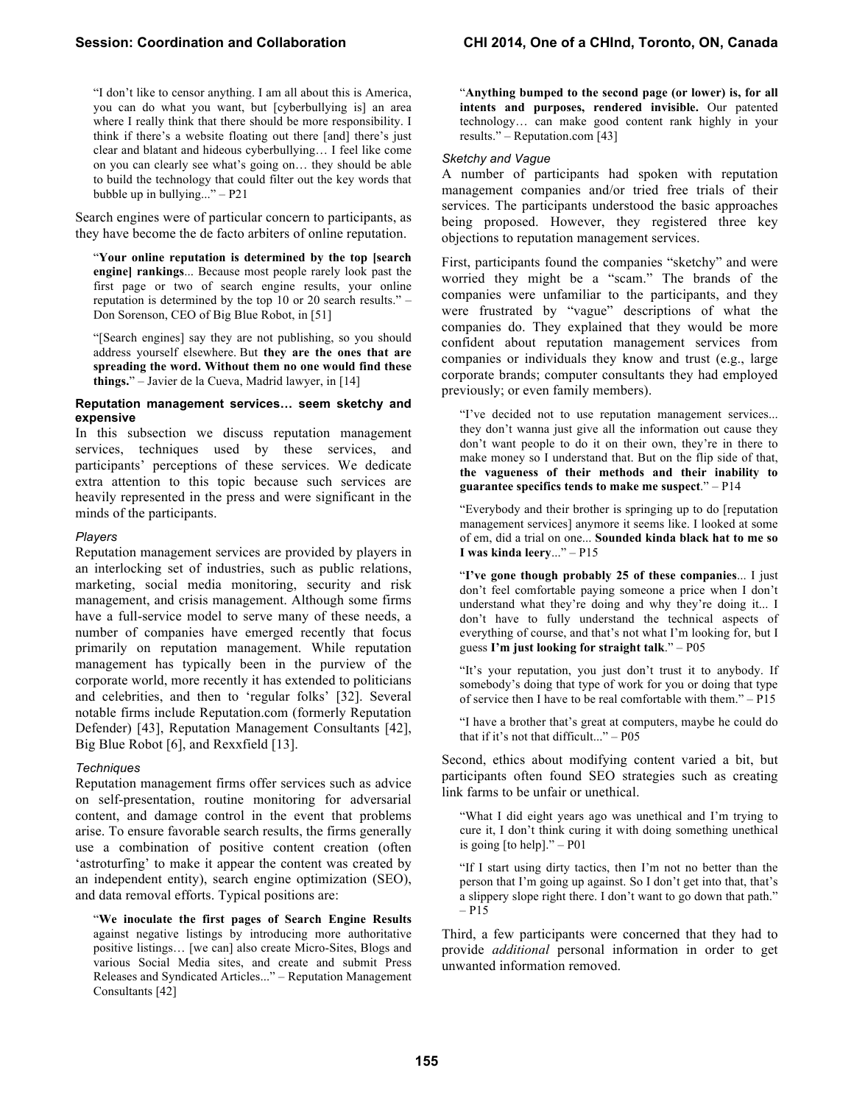"I don't like to censor anything. I am all about this is America, you can do what you want, but [cyberbullying is] an area where I really think that there should be more responsibility. I think if there's a website floating out there [and] there's just clear and blatant and hideous cyberbullying… I feel like come on you can clearly see what's going on… they should be able to build the technology that could filter out the key words that bubble up in bullying..." – P21

Search engines were of particular concern to participants, as they have become the de facto arbiters of online reputation.

"**Your online reputation is determined by the top [search engine] rankings**... Because most people rarely look past the first page or two of search engine results, your online reputation is determined by the top 10 or 20 search results." – Don Sorenson, CEO of Big Blue Robot, in [51]

"[Search engines] say they are not publishing, so you should address yourself elsewhere. But **they are the ones that are spreading the word. Without them no one would find these things.**" – Javier de la Cueva, Madrid lawyer, in [14]

#### **Reputation management services… seem sketchy and expensive**

In this subsection we discuss reputation management services, techniques used by these services, and participants' perceptions of these services. We dedicate extra attention to this topic because such services are heavily represented in the press and were significant in the minds of the participants.

### *Players*

Reputation management services are provided by players in an interlocking set of industries, such as public relations, marketing, social media monitoring, security and risk management, and crisis management. Although some firms have a full-service model to serve many of these needs, a number of companies have emerged recently that focus primarily on reputation management. While reputation management has typically been in the purview of the corporate world, more recently it has extended to politicians and celebrities, and then to 'regular folks' [32]. Several notable firms include Reputation.com (formerly Reputation Defender) [43], Reputation Management Consultants [42], Big Blue Robot [6], and Rexxfield [13].

# *Techniques*

Reputation management firms offer services such as advice on self-presentation, routine monitoring for adversarial content, and damage control in the event that problems arise. To ensure favorable search results, the firms generally use a combination of positive content creation (often 'astroturfing' to make it appear the content was created by an independent entity), search engine optimization (SEO), and data removal efforts. Typical positions are:

"**We inoculate the first pages of Search Engine Results** against negative listings by introducing more authoritative positive listings… [we can] also create Micro-Sites, Blogs and various Social Media sites, and create and submit Press Releases and Syndicated Articles..." – Reputation Management Consultants [42]

"**Anything bumped to the second page (or lower) is, for all intents and purposes, rendered invisible.** Our patented technology… can make good content rank highly in your results." – Reputation.com [43]

# *Sketchy and Vague*

A number of participants had spoken with reputation management companies and/or tried free trials of their services. The participants understood the basic approaches being proposed. However, they registered three key objections to reputation management services.

First, participants found the companies "sketchy" and were worried they might be a "scam." The brands of the companies were unfamiliar to the participants, and they were frustrated by "vague" descriptions of what the companies do. They explained that they would be more confident about reputation management services from companies or individuals they know and trust (e.g., large corporate brands; computer consultants they had employed previously; or even family members).

"I've decided not to use reputation management services... they don't wanna just give all the information out cause they don't want people to do it on their own, they're in there to make money so I understand that. But on the flip side of that, **the vagueness of their methods and their inability to guarantee specifics tends to make me suspect**." – P14

"Everybody and their brother is springing up to do [reputation management services] anymore it seems like. I looked at some of em, did a trial on one... **Sounded kinda black hat to me so I was kinda leery**..." – P15

"**I've gone though probably 25 of these companies**... I just don't feel comfortable paying someone a price when I don't understand what they're doing and why they're doing it... I don't have to fully understand the technical aspects of everything of course, and that's not what I'm looking for, but I guess **I'm just looking for straight talk**." – P05

"It's your reputation, you just don't trust it to anybody. If somebody's doing that type of work for you or doing that type of service then I have to be real comfortable with them." – P15

"I have a brother that's great at computers, maybe he could do that if it's not that difficult..." – P05

Second, ethics about modifying content varied a bit, but participants often found SEO strategies such as creating link farms to be unfair or unethical.

"What I did eight years ago was unethical and I'm trying to cure it, I don't think curing it with doing something unethical is going [to help]." – P01

"If I start using dirty tactics, then I'm not no better than the person that I'm going up against. So I don't get into that, that's a slippery slope right there. I don't want to go down that path." – P15

Third, a few participants were concerned that they had to provide *additional* personal information in order to get unwanted information removed.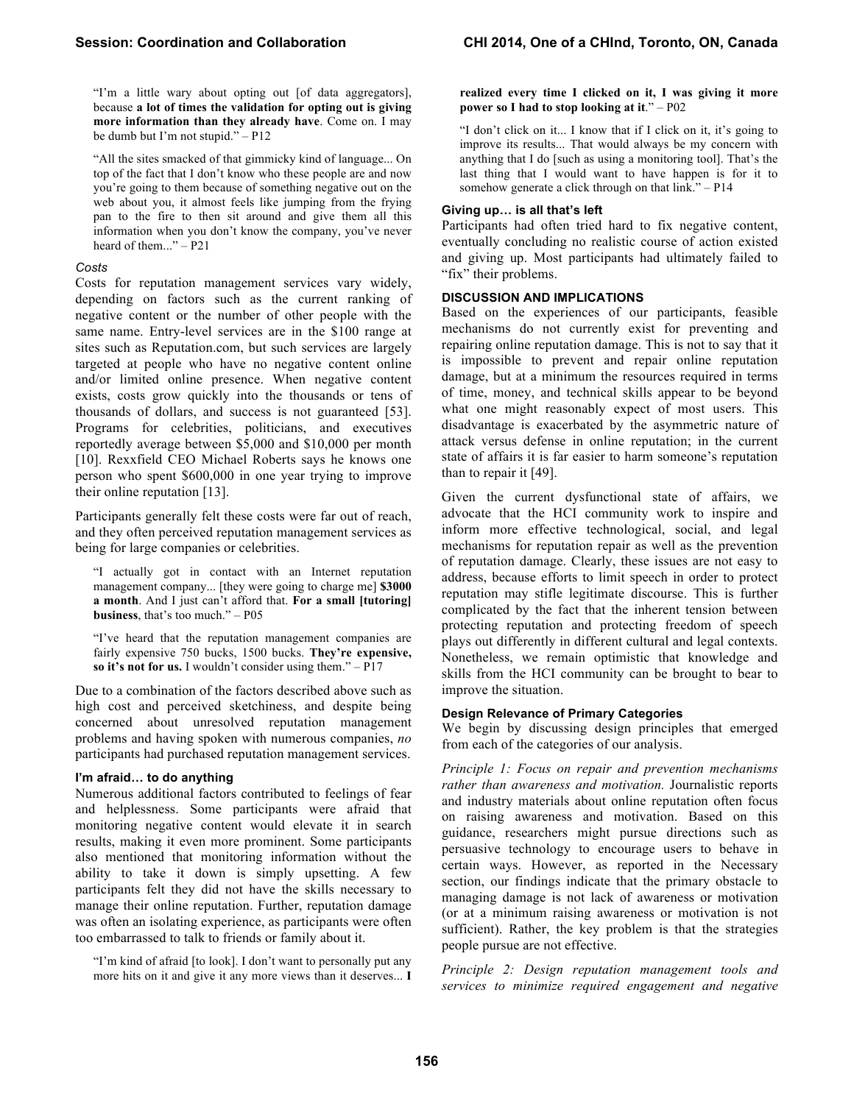"I'm a little wary about opting out [of data aggregators], because **a lot of times the validation for opting out is giving more information than they already have**. Come on. I may be dumb but I'm not stupid." – P12

"All the sites smacked of that gimmicky kind of language... On top of the fact that I don't know who these people are and now you're going to them because of something negative out on the web about you, it almost feels like jumping from the frying pan to the fire to then sit around and give them all this information when you don't know the company, you've never heard of them..." – P21

# *Costs*

Costs for reputation management services vary widely, depending on factors such as the current ranking of negative content or the number of other people with the same name. Entry-level services are in the \$100 range at sites such as Reputation.com, but such services are largely targeted at people who have no negative content online and/or limited online presence. When negative content exists, costs grow quickly into the thousands or tens of thousands of dollars, and success is not guaranteed [53]. Programs for celebrities, politicians, and executives reportedly average between \$5,000 and \$10,000 per month [10]. Rexxfield CEO Michael Roberts says he knows one person who spent \$600,000 in one year trying to improve their online reputation [13].

Participants generally felt these costs were far out of reach, and they often perceived reputation management services as being for large companies or celebrities.

"I actually got in contact with an Internet reputation management company... [they were going to charge me] **\$3000 a month**. And I just can't afford that. **For a small [tutoring] business**, that's too much." – P05

"I've heard that the reputation management companies are fairly expensive 750 bucks, 1500 bucks. **They're expensive, so it's not for us.** I wouldn't consider using them." – P17

Due to a combination of the factors described above such as high cost and perceived sketchiness, and despite being concerned about unresolved reputation management problems and having spoken with numerous companies, *no* participants had purchased reputation management services.

#### **I'm afraid… to do anything**

Numerous additional factors contributed to feelings of fear and helplessness. Some participants were afraid that monitoring negative content would elevate it in search results, making it even more prominent. Some participants also mentioned that monitoring information without the ability to take it down is simply upsetting. A few participants felt they did not have the skills necessary to manage their online reputation. Further, reputation damage was often an isolating experience, as participants were often too embarrassed to talk to friends or family about it.

"I'm kind of afraid [to look]. I don't want to personally put any more hits on it and give it any more views than it deserves... **I** 

#### **realized every time I clicked on it, I was giving it more power so I had to stop looking at it**." – P02

"I don't click on it... I know that if I click on it, it's going to improve its results... That would always be my concern with anything that I do [such as using a monitoring tool]. That's the last thing that I would want to have happen is for it to somehow generate a click through on that link." – P14

# **Giving up… is all that's left**

Participants had often tried hard to fix negative content, eventually concluding no realistic course of action existed and giving up. Most participants had ultimately failed to "fix" their problems.

# **DISCUSSION AND IMPLICATIONS**

Based on the experiences of our participants, feasible mechanisms do not currently exist for preventing and repairing online reputation damage. This is not to say that it is impossible to prevent and repair online reputation damage, but at a minimum the resources required in terms of time, money, and technical skills appear to be beyond what one might reasonably expect of most users. This disadvantage is exacerbated by the asymmetric nature of attack versus defense in online reputation; in the current state of affairs it is far easier to harm someone's reputation than to repair it [49].

Given the current dysfunctional state of affairs, we advocate that the HCI community work to inspire and inform more effective technological, social, and legal mechanisms for reputation repair as well as the prevention of reputation damage. Clearly, these issues are not easy to address, because efforts to limit speech in order to protect reputation may stifle legitimate discourse. This is further complicated by the fact that the inherent tension between protecting reputation and protecting freedom of speech plays out differently in different cultural and legal contexts. Nonetheless, we remain optimistic that knowledge and skills from the HCI community can be brought to bear to improve the situation.

#### **Design Relevance of Primary Categories**

We begin by discussing design principles that emerged from each of the categories of our analysis.

*Principle 1: Focus on repair and prevention mechanisms rather than awareness and motivation.* Journalistic reports and industry materials about online reputation often focus on raising awareness and motivation. Based on this guidance, researchers might pursue directions such as persuasive technology to encourage users to behave in certain ways. However, as reported in the Necessary section, our findings indicate that the primary obstacle to managing damage is not lack of awareness or motivation (or at a minimum raising awareness or motivation is not sufficient). Rather, the key problem is that the strategies people pursue are not effective.

*Principle 2: Design reputation management tools and services to minimize required engagement and negative*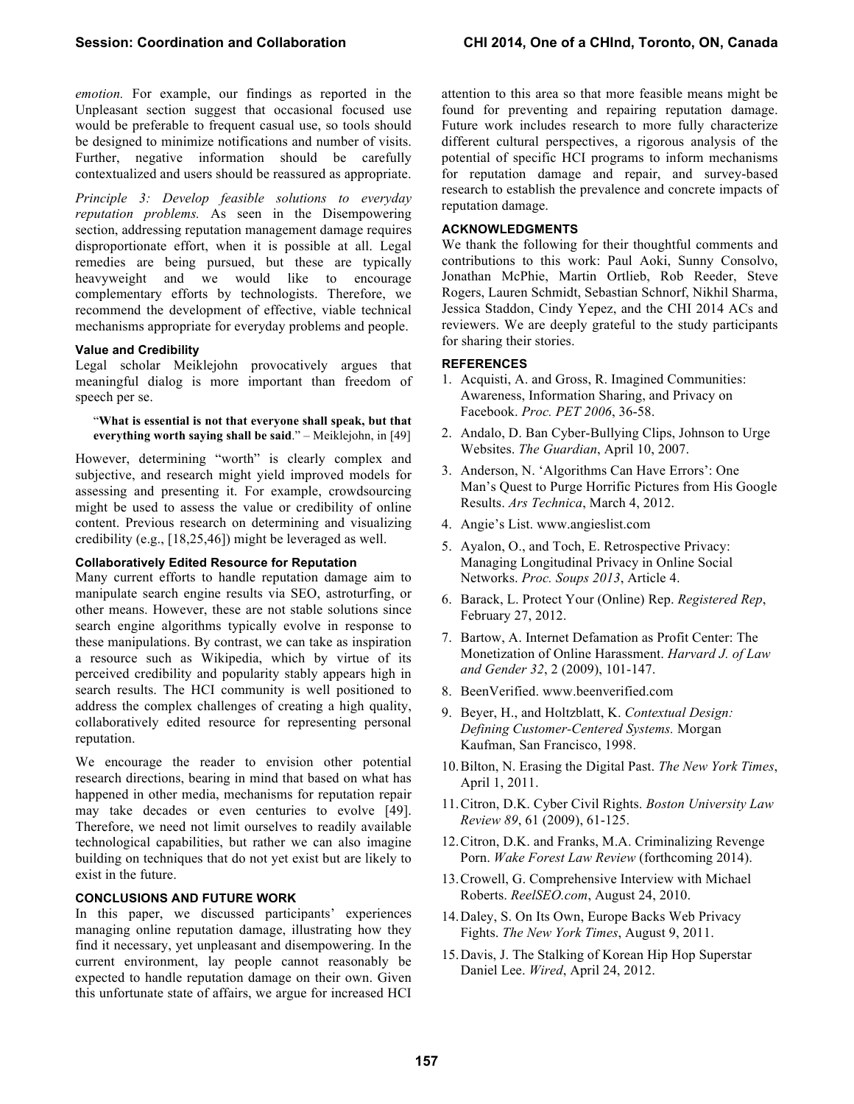*emotion.* For example, our findings as reported in the Unpleasant section suggest that occasional focused use would be preferable to frequent casual use, so tools should be designed to minimize notifications and number of visits. Further, negative information should be carefully contextualized and users should be reassured as appropriate.

*Principle 3: Develop feasible solutions to everyday reputation problems.* As seen in the Disempowering section, addressing reputation management damage requires disproportionate effort, when it is possible at all. Legal remedies are being pursued, but these are typically heavyweight and we would like to encourage complementary efforts by technologists. Therefore, we recommend the development of effective, viable technical mechanisms appropriate for everyday problems and people.

#### **Value and Credibility**

Legal scholar Meiklejohn provocatively argues that meaningful dialog is more important than freedom of speech per se.

#### "**What is essential is not that everyone shall speak, but that everything worth saying shall be said**." – Meiklejohn, in [49]

However, determining "worth" is clearly complex and subjective, and research might yield improved models for assessing and presenting it. For example, crowdsourcing might be used to assess the value or credibility of online content. Previous research on determining and visualizing credibility (e.g., [18,25,46]) might be leveraged as well.

### **Collaboratively Edited Resource for Reputation**

Many current efforts to handle reputation damage aim to manipulate search engine results via SEO, astroturfing, or other means. However, these are not stable solutions since search engine algorithms typically evolve in response to these manipulations. By contrast, we can take as inspiration a resource such as Wikipedia, which by virtue of its perceived credibility and popularity stably appears high in search results. The HCI community is well positioned to address the complex challenges of creating a high quality, collaboratively edited resource for representing personal reputation.

We encourage the reader to envision other potential research directions, bearing in mind that based on what has happened in other media, mechanisms for reputation repair may take decades or even centuries to evolve [49]. Therefore, we need not limit ourselves to readily available technological capabilities, but rather we can also imagine building on techniques that do not yet exist but are likely to exist in the future.

# **CONCLUSIONS AND FUTURE WORK**

In this paper, we discussed participants' experiences managing online reputation damage, illustrating how they find it necessary, yet unpleasant and disempowering. In the current environment, lay people cannot reasonably be expected to handle reputation damage on their own. Given this unfortunate state of affairs, we argue for increased HCI attention to this area so that more feasible means might be found for preventing and repairing reputation damage. Future work includes research to more fully characterize different cultural perspectives, a rigorous analysis of the potential of specific HCI programs to inform mechanisms for reputation damage and repair, and survey-based research to establish the prevalence and concrete impacts of reputation damage.

# **ACKNOWLEDGMENTS**

We thank the following for their thoughtful comments and contributions to this work: Paul Aoki, Sunny Consolvo, Jonathan McPhie, Martin Ortlieb, Rob Reeder, Steve Rogers, Lauren Schmidt, Sebastian Schnorf, Nikhil Sharma, Jessica Staddon, Cindy Yepez, and the CHI 2014 ACs and reviewers. We are deeply grateful to the study participants for sharing their stories.

#### **REFERENCES**

- 1. Acquisti, A. and Gross, R. Imagined Communities: Awareness, Information Sharing, and Privacy on Facebook. *Proc. PET 2006*, 36-58.
- 2. Andalo, D. Ban Cyber-Bullying Clips, Johnson to Urge Websites. *The Guardian*, April 10, 2007.
- 3. Anderson, N. 'Algorithms Can Have Errors': One Man's Quest to Purge Horrific Pictures from His Google Results. *Ars Technica*, March 4, 2012.
- 4. Angie's List. www.angieslist.com
- 5. Ayalon, O., and Toch, E. Retrospective Privacy: Managing Longitudinal Privacy in Online Social Networks. *Proc. Soups 2013*, Article 4.
- 6. Barack, L. Protect Your (Online) Rep. *Registered Rep*, February 27, 2012.
- 7. Bartow, A. Internet Defamation as Profit Center: The Monetization of Online Harassment. *Harvard J. of Law and Gender 32*, 2 (2009), 101-147.
- 8. BeenVerified. www.beenverified.com
- 9. Beyer, H., and Holtzblatt, K. *Contextual Design: Defining Customer-Centered Systems.* Morgan Kaufman, San Francisco, 1998.
- 10.Bilton, N. Erasing the Digital Past. *The New York Times*, April 1, 2011.
- 11.Citron, D.K. Cyber Civil Rights. *Boston University Law Review 89*, 61 (2009), 61-125.
- 12.Citron, D.K. and Franks, M.A. Criminalizing Revenge Porn. *Wake Forest Law Review* (forthcoming 2014).
- 13.Crowell, G. Comprehensive Interview with Michael Roberts. *ReelSEO.com*, August 24, 2010.
- 14.Daley, S. On Its Own, Europe Backs Web Privacy Fights. *The New York Times*, August 9, 2011.
- 15.Davis, J. The Stalking of Korean Hip Hop Superstar Daniel Lee. *Wired*, April 24, 2012.